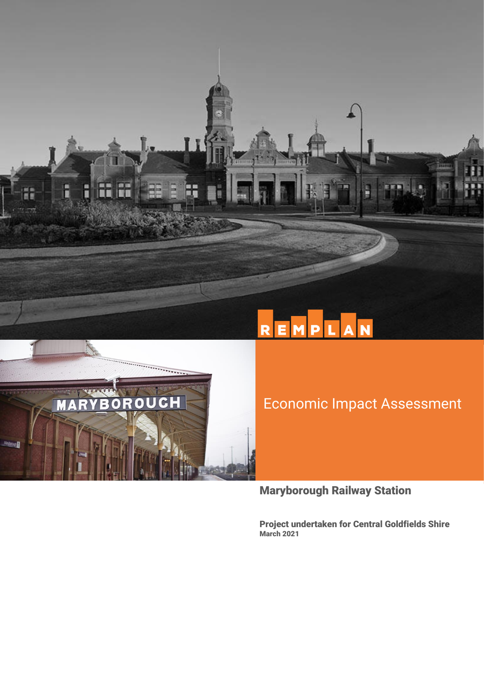



# Economic Impact Assessment

Maryborough Railway Station

Project undertaken for Central Goldfields Shire March 2021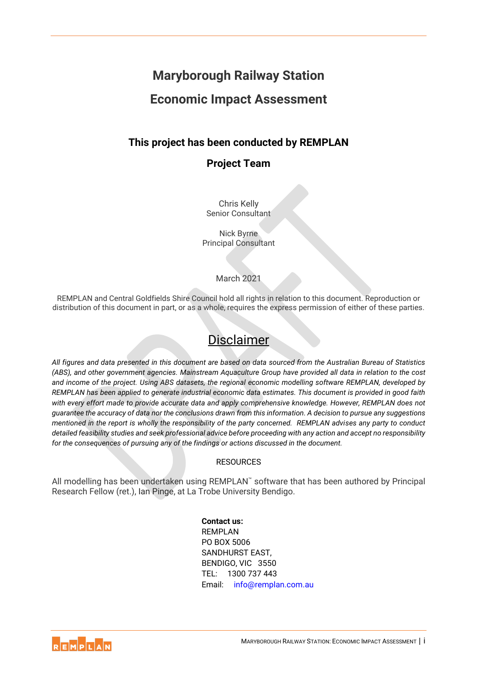# **Maryborough Railway Station Economic Impact Assessment**

## **This project has been conducted by REMPLAN**

## **Project Team**

Chris Kelly Senior Consultant

Nick Byrne Principal Consultant

#### March 2021

REMPLAN and Central Goldfields Shire Council hold all rights in relation to this document. Reproduction or distribution of this document in part, or as a whole, requires the express permission of either of these parties.

# Disclaimer

*All figures and data presented in this document are based on data sourced from the Australian Bureau of Statistics (ABS), and other government agencies. Mainstream Aquaculture Group have provided all data in relation to the cost and income of the project. Using ABS datasets, the regional economic modelling software REMPLAN, developed by REMPLAN has been applied to generate industrial economic data estimates. This document is provided in good faith*  with every effort made to provide accurate data and apply comprehensive knowledge. However, REMPLAN does not *guarantee the accuracy of data nor the conclusions drawn from this information. A decision to pursue any suggestions mentioned in the report is wholly the responsibility of the party concerned. REMPLAN advises any party to conduct detailed feasibility studies and seek professional advice before proceeding with any action and accept no responsibility for the consequences of pursuing any of the findings or actions discussed in the document.*

#### **RESOURCES**

All modelling has been undertaken using REMPLAN™ software that has been authored by Principal Research Fellow (ret.), Ian Pinge, at La Trobe University Bendigo.

> **Contact us:** REMPLAN PO BOX 5006 SANDHURST EAST, BENDIGO, VIC 3550 TEL: 1300 737 443 Email: [info@remplan.com.au](mailto:info@remplan.com.au)

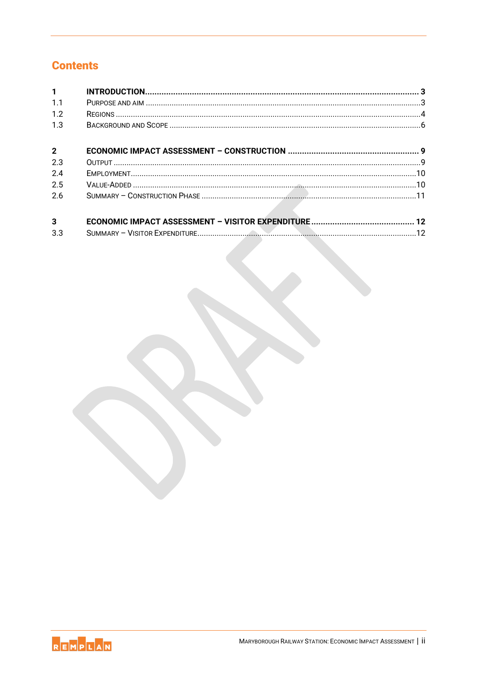# **Contents**

| $\mathbf{1}$   |  |
|----------------|--|
| 1.1            |  |
| 1.2            |  |
| 1.3            |  |
| $\overline{2}$ |  |
| 2.3            |  |
| 2.4            |  |
| 2.5            |  |
| 2.6            |  |
| $\overline{3}$ |  |
| 3.3            |  |

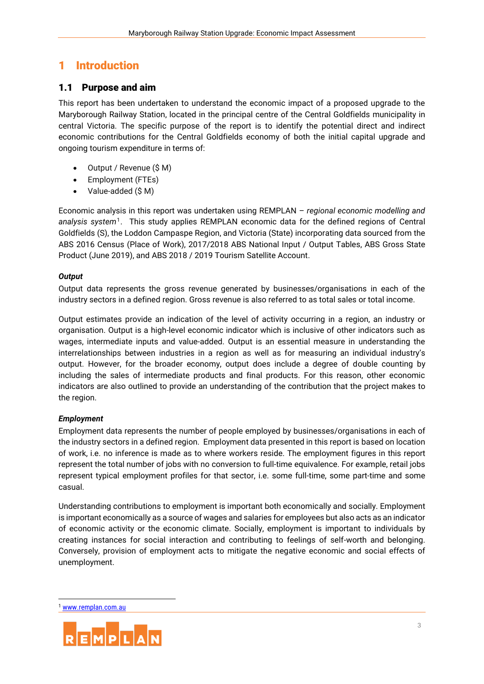# <span id="page-3-0"></span>1 Introduction

#### <span id="page-3-1"></span>1.1 Purpose and aim

This report has been undertaken to understand the economic impact of a proposed upgrade to the Maryborough Railway Station, located in the principal centre of the Central Goldfields municipality in central Victoria. The specific purpose of the report is to identify the potential direct and indirect economic contributions for the Central Goldfields economy of both the initial capital upgrade and ongoing tourism expenditure in terms of:

- Output / Revenue (\$ M)
- Employment (FTEs)
- Value-added (\$ M)

Economic analysis in this report was undertaken using REMPLAN – *regional economic modelling and*  analysis system<sup>1</sup>. This study applies REMPLAN economic data for the defined regions of Central Goldfields (S), the Loddon Campaspe Region, and Victoria (State) incorporating data sourced from the ABS 2016 Census (Place of Work), 2017/2018 ABS National Input / Output Tables, ABS Gross State Product (June 2019), and ABS 2018 / 2019 Tourism Satellite Account.

#### *Output*

Output data represents the gross revenue generated by businesses/organisations in each of the industry sectors in a defined region. Gross revenue is also referred to as total sales or total income.

Output estimates provide an indication of the level of activity occurring in a region, an industry or organisation. Output is a high-level economic indicator which is inclusive of other indicators such as wages, intermediate inputs and value-added. Output is an essential measure in understanding the interrelationships between industries in a region as well as for measuring an individual industry's output. However, for the broader economy, output does include a degree of double counting by including the sales of intermediate products and final products. For this reason, other economic indicators are also outlined to provide an understanding of the contribution that the project makes to the region.

#### *Employment*

Employment data represents the number of people employed by businesses/organisations in each of the industry sectors in a defined region. Employment data presented in this report is based on location of work, i.e. no inference is made as to where workers reside. The employment figures in this report represent the total number of jobs with no conversion to full-time equivalence. For example, retail jobs represent typical employment profiles for that sector, i.e. some full-time, some part-time and some casual.

Understanding contributions to employment is important both economically and socially. Employment is important economically as a source of wages and salaries for employees but also acts as an indicator of economic activity or the economic climate. Socially, employment is important to individuals by creating instances for social interaction and contributing to feelings of self-worth and belonging. Conversely, provision of employment acts to mitigate the negative economic and social effects of unemployment.

<sup>1</sup> [www.remplan.com.au](http://www.remplan.com.au/)

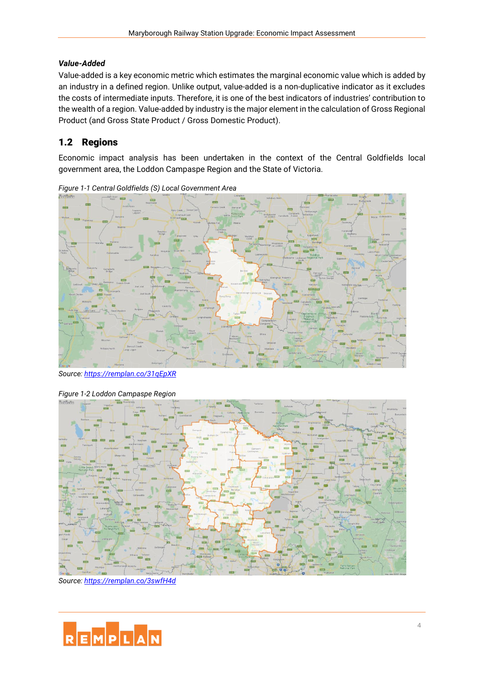#### *Value-Added*

Value-added is a key economic metric which estimates the marginal economic value which is added by an industry in a defined region. Unlike output, value-added is a non-duplicative indicator as it excludes the costs of intermediate inputs. Therefore, it is one of the best indicators of industries' contribution to the wealth of a region. Value-added by industry is the major element in the calculation of Gross Regional Product (and Gross State Product / Gross Domestic Product).

## <span id="page-4-0"></span>1.2 Regions

Economic impact analysis has been undertaken in the context of the Central Goldfields local government area, the Loddon Campaspe Region and the State of Victoria.



*Figure 1-1 Central Goldfields (S) Local Government Area*

*Source:<https://remplan.co/31qEpXR>*



*Source:<https://remplan.co/3swfH4d>*

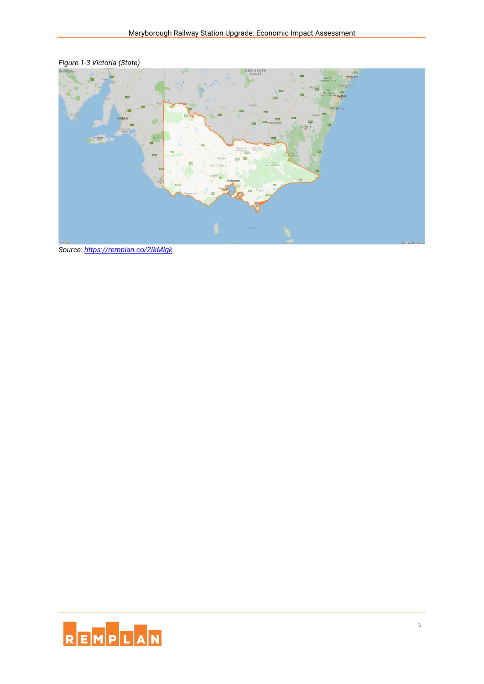

*Figure 1-3 Victoria (State)*

*Source:<https://remplan.co/2IkMIgk>*

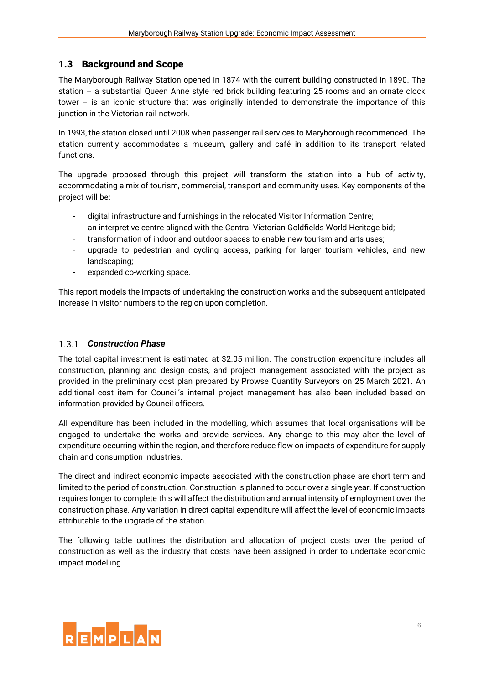### <span id="page-6-0"></span>1.3 Background and Scope

The Maryborough Railway Station opened in 1874 with the current building constructed in 1890. The station – a substantial Queen Anne style red brick building featuring 25 rooms and an ornate clock tower – is an iconic structure that was originally intended to demonstrate the importance of this junction in the Victorian rail network.

In 1993, the station closed until 2008 when passenger rail services to Maryborough recommenced. The station currently accommodates a museum, gallery and café in addition to its transport related functions.

The upgrade proposed through this project will transform the station into a hub of activity, accommodating a mix of tourism, commercial, transport and community uses. Key components of the project will be:

- digital infrastructure and furnishings in the relocated Visitor Information Centre;
- an interpretive centre aligned with the Central Victorian Goldfields World Heritage bid;
- transformation of indoor and outdoor spaces to enable new tourism and arts uses;
- upgrade to pedestrian and cycling access, parking for larger tourism vehicles, and new landscaping;
- expanded co-working space.

This report models the impacts of undertaking the construction works and the subsequent anticipated increase in visitor numbers to the region upon completion.

#### *Construction Phase*

The total capital investment is estimated at \$2.05 million. The construction expenditure includes all construction, planning and design costs, and project management associated with the project as provided in the preliminary cost plan prepared by Prowse Quantity Surveyors on 25 March 2021. An additional cost item for Council's internal project management has also been included based on information provided by Council officers.

All expenditure has been included in the modelling, which assumes that local organisations will be engaged to undertake the works and provide services. Any change to this may alter the level of expenditure occurring within the region, and therefore reduce flow on impacts of expenditure for supply chain and consumption industries.

The direct and indirect economic impacts associated with the construction phase are short term and limited to the period of construction. Construction is planned to occur over a single year. If construction requires longer to complete this will affect the distribution and annual intensity of employment over the construction phase. Any variation in direct capital expenditure will affect the level of economic impacts attributable to the upgrade of the station.

The following table outlines the distribution and allocation of project costs over the period of construction as well as the industry that costs have been assigned in order to undertake economic impact modelling.

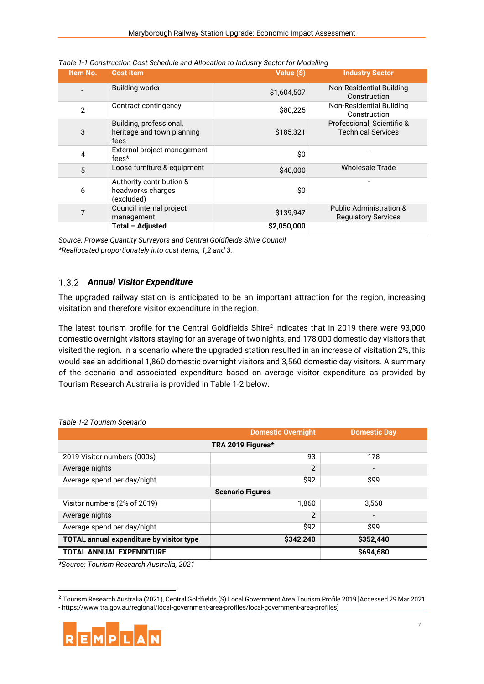| Item No.     | <b>Cost item</b>                                              | Value (\$)  | <b>Industry Sector</b>                                           |
|--------------|---------------------------------------------------------------|-------------|------------------------------------------------------------------|
| 1            | <b>Building works</b>                                         | \$1,604,507 | Non-Residential Building<br>Construction                         |
| $\mathbf{2}$ | Contract contingency                                          | \$80,225    | Non-Residential Building<br>Construction                         |
| 3            | Building, professional,<br>heritage and town planning<br>fees | \$185,321   | Professional, Scientific &<br><b>Technical Services</b>          |
| 4            | External project management<br>fees*                          | \$0         |                                                                  |
| 5            | Loose furniture & equipment                                   | \$40,000    | <b>Wholesale Trade</b>                                           |
| 6            | Authority contribution &<br>headworks charges<br>(excluded)   | \$0         |                                                                  |
| 7            | Council internal project<br>management                        | \$139,947   | <b>Public Administration &amp;</b><br><b>Regulatory Services</b> |
|              | Total - Adjusted                                              | \$2,050,000 |                                                                  |

*Table 1-1 Construction Cost Schedule and Allocation to Industry Sector for Modelling*

*Source: Prowse Quantity Surveyors and Central Goldfields Shire Council \*Reallocated proportionately into cost items, 1,2 and 3.*

#### *Annual Visitor Expenditure*

The upgraded railway station is anticipated to be an important attraction for the region, increasing visitation and therefore visitor expenditure in the region.

The latest tourism profile for the Central Goldfields Shire<sup>2</sup> indicates that in 2019 there were 93,000 domestic overnight visitors staying for an average of two nights, and 178,000 domestic day visitors that visited the region. In a scenario where the upgraded station resulted in an increase of visitation 2%, this would see an additional 1,860 domestic overnight visitors and 3,560 domestic day visitors. A summary of the scenario and associated expenditure based on average visitor expenditure as provided by Tourism Research Australia is provided in [Table 1-2](#page-7-0) below.

|                                          | <b>Domestic Overnight</b> | <b>Domestic Day</b>      |  |  |  |
|------------------------------------------|---------------------------|--------------------------|--|--|--|
| TRA 2019 Figures*                        |                           |                          |  |  |  |
| 2019 Visitor numbers (000s)              | 93                        | 178                      |  |  |  |
| Average nights                           | 2                         | $\overline{\phantom{a}}$ |  |  |  |
| Average spend per day/night              | \$92                      | \$99                     |  |  |  |
| <b>Scenario Figures</b>                  |                           |                          |  |  |  |
| Visitor numbers (2% of 2019)             | 1,860                     | 3,560                    |  |  |  |
| Average nights                           | $\overline{2}$            | $\overline{\phantom{0}}$ |  |  |  |
| Average spend per day/night              | \$92                      | \$99                     |  |  |  |
| TOTAL annual expenditure by visitor type | \$342,240                 | \$352,440                |  |  |  |
| <b>TOTAL ANNUAL EXPENDITURE</b>          |                           | \$694,680                |  |  |  |

<span id="page-7-0"></span>*Table 1-2 Tourism Scenario*

*\*Source: Tourism Research Australia, 2021*

<sup>2</sup> Tourism Research Australia (2021), Central Goldfields (S) Local Government Area Tourism Profile 2019 [Accessed 29 Mar 2021 - https://www.tra.gov.au/regional/local-government-area-profiles/local-government-area-profiles]

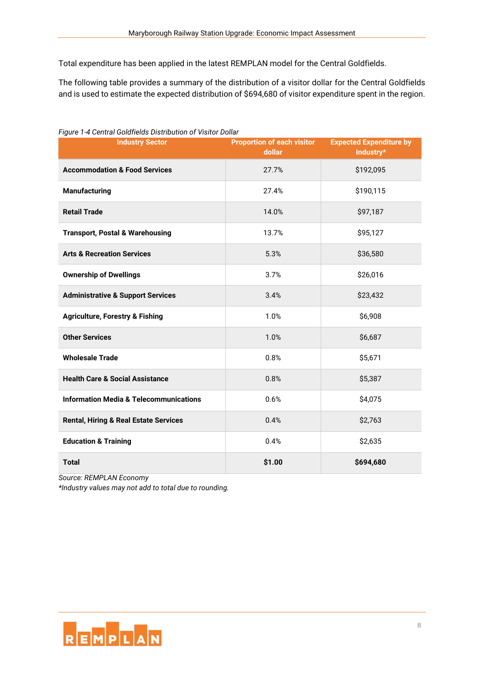Total expenditure has been applied in the latest REMPLAN model for the Central Goldfields.

The following table provides a summary of the distribution of a visitor dollar for the Central Goldfields and is used to estimate the expected distribution of \$694,680 of visitor expenditure spent in the region.

| <b>Industry Sector</b>                            | <b>Proportion of each visitor</b><br>dollar | <b>Expected Expenditure by</b><br>Industry* |
|---------------------------------------------------|---------------------------------------------|---------------------------------------------|
| <b>Accommodation &amp; Food Services</b>          | 27.7%                                       | \$192,095                                   |
| <b>Manufacturing</b>                              | 27.4%                                       | \$190,115                                   |
| <b>Retail Trade</b>                               | 14.0%                                       | \$97,187                                    |
| <b>Transport, Postal &amp; Warehousing</b>        | 13.7%                                       | \$95,127                                    |
| <b>Arts &amp; Recreation Services</b>             | 5.3%                                        | \$36,580                                    |
| <b>Ownership of Dwellings</b>                     | 3.7%                                        | \$26,016                                    |
| <b>Administrative &amp; Support Services</b>      | 3.4%                                        | \$23,432                                    |
| <b>Agriculture, Forestry &amp; Fishing</b>        | 1.0%                                        | \$6,908                                     |
| <b>Other Services</b>                             | 1.0%                                        | \$6,687                                     |
| <b>Wholesale Trade</b>                            | 0.8%                                        | \$5,671                                     |
| <b>Health Care &amp; Social Assistance</b>        | 0.8%                                        | \$5,387                                     |
| <b>Information Media &amp; Telecommunications</b> | 0.6%                                        | \$4,075                                     |
| <b>Rental, Hiring &amp; Real Estate Services</b>  | 0.4%                                        | \$2,763                                     |
| <b>Education &amp; Training</b>                   | 0.4%                                        | \$2,635                                     |
| <b>Total</b>                                      | \$1.00                                      | \$694,680                                   |

*Figure 1-4 Central Goldfields Distribution of Visitor Dollar*

*Source: REMPLAN Economy*

*\*Industry values may not add to total due to rounding.*

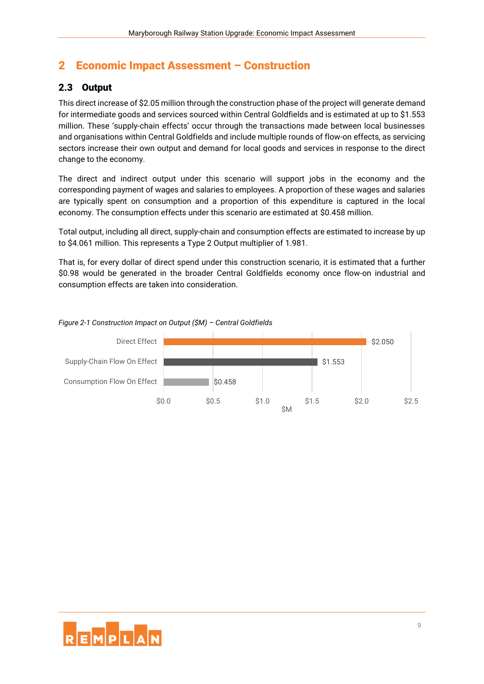# <span id="page-9-0"></span>2 Economic Impact Assessment – Construction

## <span id="page-9-1"></span>2.3 Output

This direct increase of \$2.05 million through the construction phase of the project will generate demand for intermediate goods and services sourced within Central Goldfields and is estimated at up to \$1.553 million. These 'supply-chain effects' occur through the transactions made between local businesses and organisations within Central Goldfields and include multiple rounds of flow-on effects, as servicing sectors increase their own output and demand for local goods and services in response to the direct change to the economy.

The direct and indirect output under this scenario will support jobs in the economy and the corresponding payment of wages and salaries to employees. A proportion of these wages and salaries are typically spent on consumption and a proportion of this expenditure is captured in the local economy. The consumption effects under this scenario are estimated at \$0.458 million.

Total output, including all direct, supply-chain and consumption effects are estimated to increase by up to \$4.061 million. This represents a Type 2 Output multiplier of 1.981.

That is, for every dollar of direct spend under this construction scenario, it is estimated that a further \$0.98 would be generated in the broader Central Goldfields economy once flow-on industrial and consumption effects are taken into consideration.



*Figure 2-1 Construction Impact on Output (\$M) – Central Goldfields*

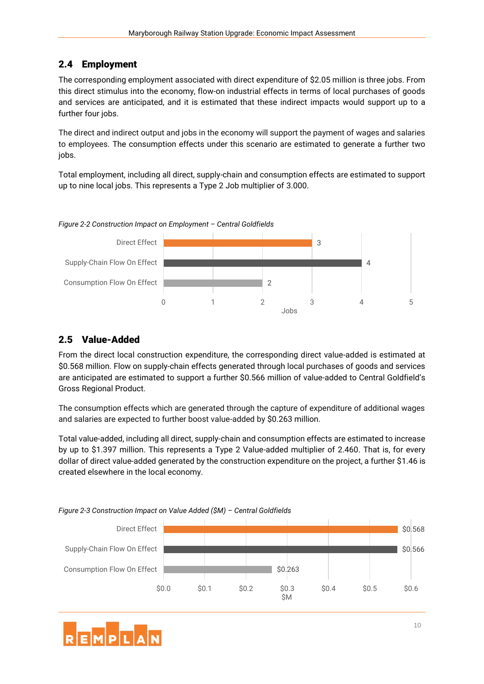## <span id="page-10-0"></span>2.4 Employment

The corresponding employment associated with direct expenditure of \$2.05 million is three jobs. From this direct stimulus into the economy, flow-on industrial effects in terms of local purchases of goods and services are anticipated, and it is estimated that these indirect impacts would support up to a further four jobs.

The direct and indirect output and jobs in the economy will support the payment of wages and salaries to employees. The consumption effects under this scenario are estimated to generate a further two jobs.

Total employment, including all direct, supply-chain and consumption effects are estimated to support up to nine local jobs. This represents a Type 2 Job multiplier of 3.000.





### <span id="page-10-1"></span>2.5 Value-Added

From the direct local construction expenditure, the corresponding direct value-added is estimated at \$0.568 million. Flow on supply-chain effects generated through local purchases of goods and services are anticipated are estimated to support a further \$0.566 million of value-added to Central Goldfield's Gross Regional Product.

The consumption effects which are generated through the capture of expenditure of additional wages and salaries are expected to further boost value-added by \$0.263 million.

Total value-added, including all direct, supply-chain and consumption effects are estimated to increase by up to \$1.397 million. This represents a Type 2 Value-added multiplier of 2.460. That is, for every dollar of direct value-added generated by the construction expenditure on the project, a further \$1.46 is created elsewhere in the local economy.



*Figure 2-3 Construction Impact on Value Added (\$M) – Central Goldfields*

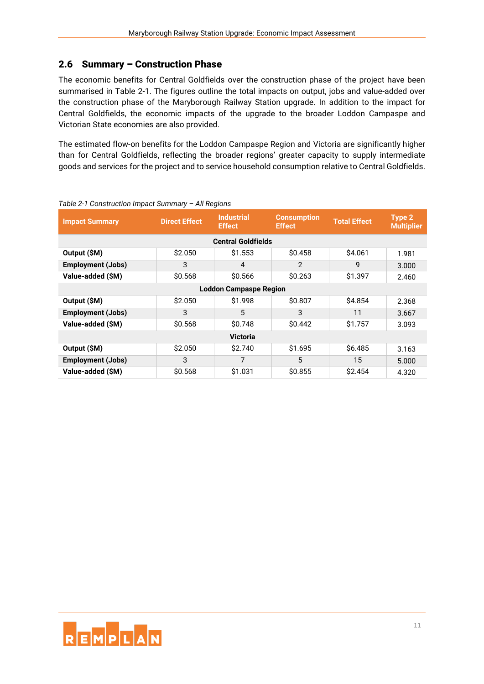### <span id="page-11-0"></span>2.6 Summary – Construction Phase

The economic benefits for Central Goldfields over the construction phase of the project have been summarised in [Table 2-1.](#page-11-1) The figures outline the total impacts on output, jobs and value-added over the construction phase of the Maryborough Railway Station upgrade. In addition to the impact for Central Goldfields, the economic impacts of the upgrade to the broader Loddon Campaspe and Victorian State economies are also provided.

The estimated flow-on benefits for the Loddon Campaspe Region and Victoria are significantly higher than for Central Goldfields, reflecting the broader regions' greater capacity to supply intermediate goods and services for the project and to service household consumption relative to Central Goldfields.

| <b>Impact Summary</b>         | <b>Direct Effect</b> | <b>Industrial</b><br><b>Effect</b> | <b>Consumption</b><br><b>Effect</b> | <b>Total Effect</b> | Type 2<br><b>Multiplier</b> |  |
|-------------------------------|----------------------|------------------------------------|-------------------------------------|---------------------|-----------------------------|--|
|                               |                      | <b>Central Goldfields</b>          |                                     |                     |                             |  |
| Output (\$M)                  | \$2.050              | \$1.553                            | \$0.458                             | \$4.061             | 1.981                       |  |
| <b>Employment (Jobs)</b>      | 3                    | 4                                  | $\mathfrak{p}$                      | 9                   | 3.000                       |  |
| Value-added (\$M)             | \$0.568              | \$0.566                            | \$0.263                             | \$1.397             | 2.460                       |  |
| <b>Loddon Campaspe Region</b> |                      |                                    |                                     |                     |                             |  |
| Output (\$M)                  | \$2.050              | \$1.998                            | \$0.807                             | \$4.854             | 2.368                       |  |
| <b>Employment (Jobs)</b>      | 3                    | 5                                  | 3                                   | 11                  | 3.667                       |  |
| Value-added (\$M)             | \$0.568              | \$0.748                            | \$0.442                             | \$1.757             | 3.093                       |  |
| <b>Victoria</b>               |                      |                                    |                                     |                     |                             |  |
| Output (\$M)                  | \$2.050              | \$2.740                            | \$1.695                             | \$6.485             | 3.163                       |  |
| <b>Employment (Jobs)</b>      | 3                    | 7                                  | 5                                   | 15                  | 5.000                       |  |
| Value-added (\$M)             | \$0.568              | \$1.031                            | \$0.855                             | \$2.454             | 4.320                       |  |

#### <span id="page-11-1"></span>*Table 2-1 Construction Impact Summary – All Regions*